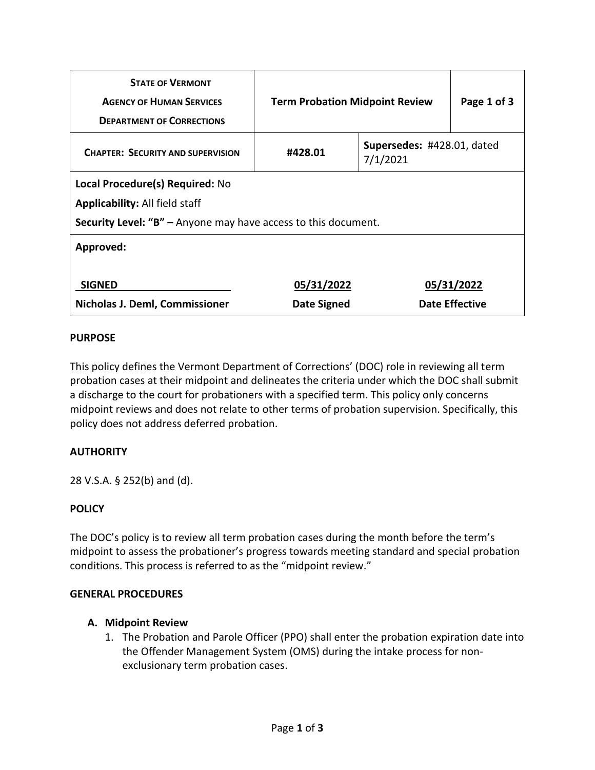| <b>STATE OF VERMONT</b><br><b>AGENCY OF HUMAN SERVICES</b><br><b>DEPARTMENT OF CORRECTIONS</b>                                             | <b>Term Probation Midpoint Review</b>             |  | Page 1 of 3                         |
|--------------------------------------------------------------------------------------------------------------------------------------------|---------------------------------------------------|--|-------------------------------------|
| <b>CHAPTER: SECURITY AND SUPERVISION</b>                                                                                                   | Supersedes: #428.01, dated<br>#428.01<br>7/1/2021 |  |                                     |
| Local Procedure(s) Required: No<br><b>Applicability: All field staff</b><br>Security Level: "B" - Anyone may have access to this document. |                                                   |  |                                     |
| Approved:                                                                                                                                  |                                                   |  |                                     |
| <b>SIGNED</b><br>Nicholas J. Deml, Commissioner                                                                                            | 05/31/2022<br>Date Signed                         |  | 05/31/2022<br><b>Date Effective</b> |

### **PURPOSE**

This policy defines the Vermont Department of Corrections' (DOC) role in reviewing all term probation cases at their midpoint and delineates the criteria under which the DOC shall submit a discharge to the court for probationers with a specified term. This policy only concerns midpoint reviews and does not relate to other terms of probation supervision. Specifically, this policy does not address deferred probation.

## **AUTHORITY**

28 V.S.A. § 252(b) and (d).

## **POLICY**

The DOC's policy is to review all term probation cases during the month before the term's midpoint to assess the probationer's progress towards meeting standard and special probation conditions. This process is referred to as the "midpoint review."

#### **GENERAL PROCEDURES**

## **A. Midpoint Review**

1. The Probation and Parole Officer (PPO) shall enter the probation expiration date into the Offender Management System (OMS) during the intake process for nonexclusionary term probation cases.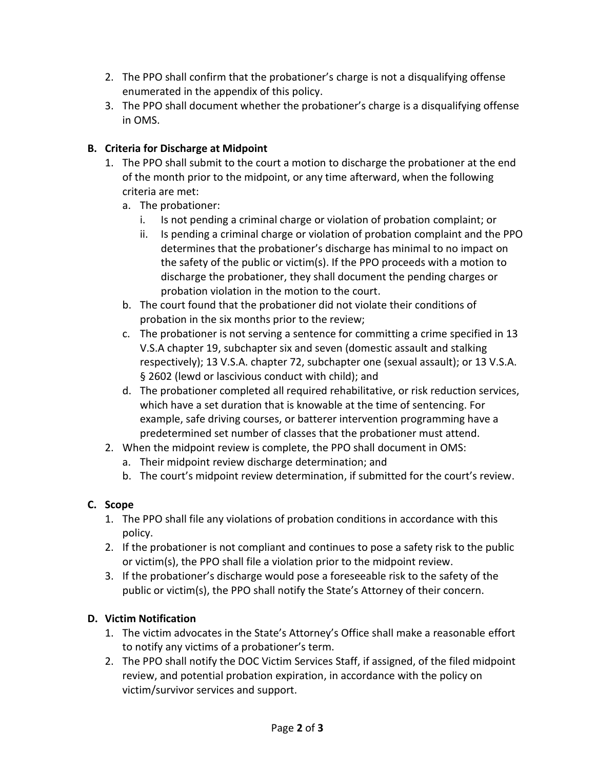- 2. The PPO shall confirm that the probationer's charge is not a disqualifying offense enumerated in the appendix of this policy.
- 3. The PPO shall document whether the probationer's charge is a disqualifying offense in OMS.

# **B. Criteria for Discharge at Midpoint**

- 1. The PPO shall submit to the court a motion to discharge the probationer at the end of the month prior to the midpoint, or any time afterward, when the following criteria are met:
	- a. The probationer:
		- i. Is not pending a criminal charge or violation of probation complaint; or
		- ii. Is pending a criminal charge or violation of probation complaint and the PPO determines that the probationer's discharge has minimal to no impact on the safety of the public or victim(s). If the PPO proceeds with a motion to discharge the probationer, they shall document the pending charges or probation violation in the motion to the court.
	- b. The court found that the probationer did not violate their conditions of probation in the six months prior to the review;
	- c. The probationer is not serving a sentence for committing a crime specified in 13 V.S.A chapter 19, subchapter six and seven (domestic assault and stalking respectively); 13 V.S.A. chapter 72, subchapter one (sexual assault); or 13 V.S.A. § 2602 (lewd or lascivious conduct with child); and
	- d. The probationer completed all required rehabilitative, or risk reduction services, which have a set duration that is knowable at the time of sentencing. For example, safe driving courses, or batterer intervention programming have a predetermined set number of classes that the probationer must attend.
- 2. When the midpoint review is complete, the PPO shall document in OMS:
	- a. Their midpoint review discharge determination; and
	- b. The court's midpoint review determination, if submitted for the court's review.

## **C. Scope**

- 1. The PPO shall file any violations of probation conditions in accordance with this policy.
- 2. If the probationer is not compliant and continues to pose a safety risk to the public or victim(s), the PPO shall file a violation prior to the midpoint review.
- 3. If the probationer's discharge would pose a foreseeable risk to the safety of the public or victim(s), the PPO shall notify the State's Attorney of their concern.

## **D. Victim Notification**

- 1. The victim advocates in the State's Attorney's Office shall make a reasonable effort to notify any victims of a probationer's term.
- 2. The PPO shall notify the DOC Victim Services Staff, if assigned, of the filed midpoint review, and potential probation expiration, in accordance with the policy on victim/survivor services and support.